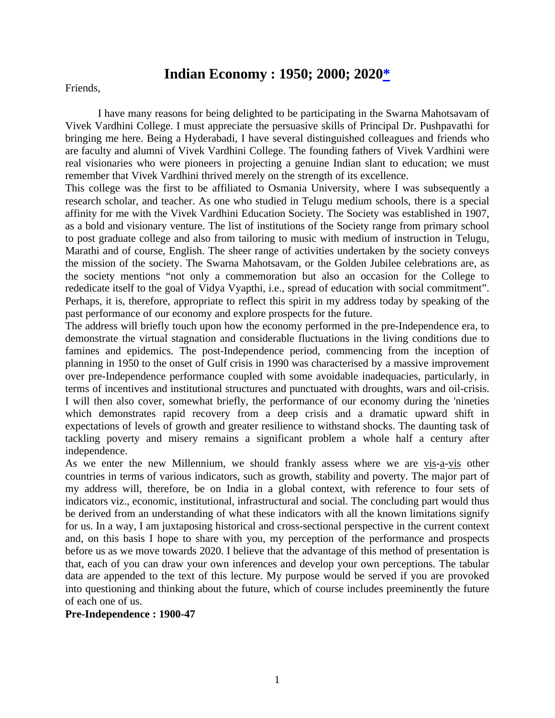# **Indian Economy : 1950; 2000; 2020\***

Friends,

I have many reasons for being delighted to be participating in the Swarna Mahotsavam of Vivek Vardhini College. I must appreciate the persuasive skills of Principal Dr. Pushpavathi for bringing me here. Being a Hyderabadi, I have several distinguished colleagues and friends who are faculty and alumni of Vivek Vardhini College. The founding fathers of Vivek Vardhini were real visionaries who were pioneers in projecting a genuine Indian slant to education; we must remember that Vivek Vardhini thrived merely on the strength of its excellence.

This college was the first to be affiliated to Osmania University, where I was subsequently a research scholar, and teacher. As one who studied in Telugu medium schools, there is a special affinity for me with the Vivek Vardhini Education Society. The Society was established in 1907, as a bold and visionary venture. The list of institutions of the Society range from primary school to post graduate college and also from tailoring to music with medium of instruction in Telugu, Marathi and of course, English. The sheer range of activities undertaken by the society conveys the mission of the society. The Swarna Mahotsavam, or the Golden Jubilee celebrations are, as the society mentions "not only a commemoration but also an occasion for the College to rededicate itself to the goal of Vidya Vyapthi, i.e., spread of education with social commitment". Perhaps, it is, therefore, appropriate to reflect this spirit in my address today by speaking of the past performance of our economy and explore prospects for the future.

The address will briefly touch upon how the economy performed in the pre-Independence era, to demonstrate the virtual stagnation and considerable fluctuations in the living conditions due to famines and epidemics. The post-Independence period, commencing from the inception of planning in 1950 to the onset of Gulf crisis in 1990 was characterised by a massive improvement over pre-Independence performance coupled with some avoidable inadequacies, particularly, in terms of incentives and institutional structures and punctuated with droughts, wars and oil-crisis. I will then also cover, somewhat briefly, the performance of our economy during the 'nineties which demonstrates rapid recovery from a deep crisis and a dramatic upward shift in expectations of levels of growth and greater resilience to withstand shocks. The daunting task of tackling poverty and misery remains a significant problem a whole half a century after independence.

As we enter the new Millennium, we should frankly assess where we are vis-a-vis other countries in terms of various indicators, such as growth, stability and poverty. The major part of my address will, therefore, be on India in a global context, with reference to four sets of indicators viz., economic, institutional, infrastructural and social. The concluding part would thus be derived from an understanding of what these indicators with all the known limitations signify for us. In a way, I am juxtaposing historical and cross-sectional perspective in the current context and, on this basis I hope to share with you, my perception of the performance and prospects before us as we move towards 2020. I believe that the advantage of this method of presentation is that, each of you can draw your own inferences and develop your own perceptions. The tabular data are appended to the text of this lecture. My purpose would be served if you are provoked into questioning and thinking about the future, which of course includes preeminently the future of each one of us.

#### **Pre-Independence : 1900-47**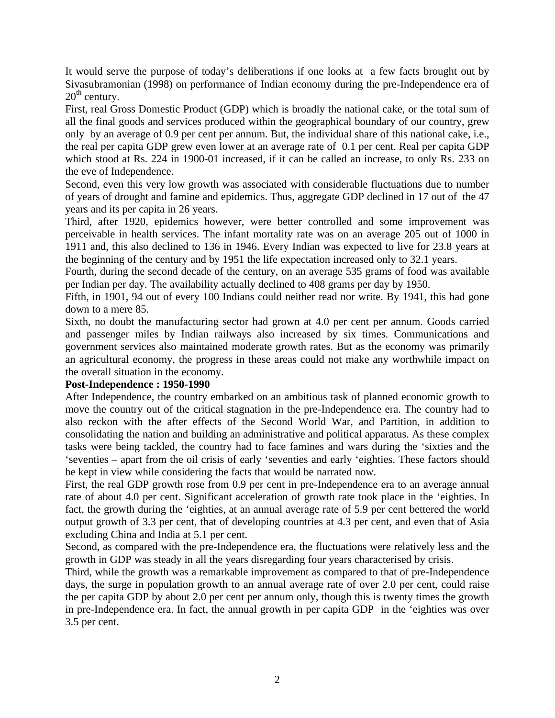It would serve the purpose of today's deliberations if one looks at a few facts brought out by Sivasubramonian (1998) on performance of Indian economy during the pre-Independence era of  $20<sup>th</sup>$  century.

First, real Gross Domestic Product (GDP) which is broadly the national cake, or the total sum of all the final goods and services produced within the geographical boundary of our country, grew only by an average of 0.9 per cent per annum. But, the individual share of this national cake, i.e., the real per capita GDP grew even lower at an average rate of 0.1 per cent. Real per capita GDP which stood at Rs. 224 in 1900-01 increased, if it can be called an increase, to only Rs. 233 on the eve of Independence.

Second, even this very low growth was associated with considerable fluctuations due to number of years of drought and famine and epidemics. Thus, aggregate GDP declined in 17 out of the 47 years and its per capita in 26 years.

Third, after 1920, epidemics however, were better controlled and some improvement was perceivable in health services. The infant mortality rate was on an average 205 out of 1000 in 1911 and, this also declined to 136 in 1946. Every Indian was expected to live for 23.8 years at the beginning of the century and by 1951 the life expectation increased only to 32.1 years.

Fourth, during the second decade of the century, on an average 535 grams of food was available per Indian per day. The availability actually declined to 408 grams per day by 1950.

Fifth, in 1901, 94 out of every 100 Indians could neither read nor write. By 1941, this had gone down to a mere 85.

Sixth, no doubt the manufacturing sector had grown at 4.0 per cent per annum. Goods carried and passenger miles by Indian railways also increased by six times. Communications and government services also maintained moderate growth rates. But as the economy was primarily an agricultural economy, the progress in these areas could not make any worthwhile impact on the overall situation in the economy.

#### **Post-Independence : 1950-1990**

After Independence, the country embarked on an ambitious task of planned economic growth to move the country out of the critical stagnation in the pre-Independence era. The country had to also reckon with the after effects of the Second World War, and Partition, in addition to consolidating the nation and building an administrative and political apparatus. As these complex tasks were being tackled, the country had to face famines and wars during the 'sixties and the 'seventies – apart from the oil crisis of early 'seventies and early 'eighties. These factors should be kept in view while considering the facts that would be narrated now.

First, the real GDP growth rose from 0.9 per cent in pre-Independence era to an average annual rate of about 4.0 per cent. Significant acceleration of growth rate took place in the 'eighties. In fact, the growth during the 'eighties, at an annual average rate of 5.9 per cent bettered the world output growth of 3.3 per cent, that of developing countries at 4.3 per cent, and even that of Asia excluding China and India at 5.1 per cent.

Second, as compared with the pre-Independence era, the fluctuations were relatively less and the growth in GDP was steady in all the years disregarding four years characterised by crisis.

Third, while the growth was a remarkable improvement as compared to that of pre-Independence days, the surge in population growth to an annual average rate of over 2.0 per cent, could raise the per capita GDP by about 2.0 per cent per annum only, though this is twenty times the growth in pre-Independence era. In fact, the annual growth in per capita GDP in the 'eighties was over 3.5 per cent.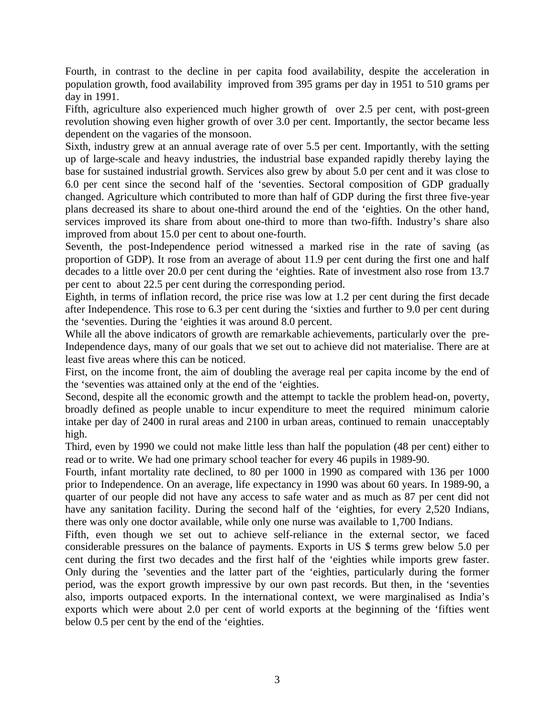Fourth, in contrast to the decline in per capita food availability, despite the acceleration in population growth, food availability improved from 395 grams per day in 1951 to 510 grams per day in 1991.

Fifth, agriculture also experienced much higher growth of over 2.5 per cent, with post-green revolution showing even higher growth of over 3.0 per cent. Importantly, the sector became less dependent on the vagaries of the monsoon.

Sixth, industry grew at an annual average rate of over 5.5 per cent. Importantly, with the setting up of large-scale and heavy industries, the industrial base expanded rapidly thereby laying the base for sustained industrial growth. Services also grew by about 5.0 per cent and it was close to 6.0 per cent since the second half of the 'seventies. Sectoral composition of GDP gradually changed. Agriculture which contributed to more than half of GDP during the first three five-year plans decreased its share to about one-third around the end of the 'eighties. On the other hand, services improved its share from about one-third to more than two-fifth. Industry's share also improved from about 15.0 per cent to about one-fourth.

Seventh, the post-Independence period witnessed a marked rise in the rate of saving (as proportion of GDP). It rose from an average of about 11.9 per cent during the first one and half decades to a little over 20.0 per cent during the 'eighties. Rate of investment also rose from 13.7 per cent to about 22.5 per cent during the corresponding period.

Eighth, in terms of inflation record, the price rise was low at 1.2 per cent during the first decade after Independence. This rose to 6.3 per cent during the 'sixties and further to 9.0 per cent during the 'seventies. During the 'eighties it was around 8.0 percent.

While all the above indicators of growth are remarkable achievements, particularly over the pre-Independence days, many of our goals that we set out to achieve did not materialise. There are at least five areas where this can be noticed.

First, on the income front, the aim of doubling the average real per capita income by the end of the 'seventies was attained only at the end of the 'eighties.

Second, despite all the economic growth and the attempt to tackle the problem head-on, poverty, broadly defined as people unable to incur expenditure to meet the required minimum calorie intake per day of 2400 in rural areas and 2100 in urban areas, continued to remain unacceptably high.

Third, even by 1990 we could not make little less than half the population (48 per cent) either to read or to write. We had one primary school teacher for every 46 pupils in 1989-90.

Fourth, infant mortality rate declined, to 80 per 1000 in 1990 as compared with 136 per 1000 prior to Independence. On an average, life expectancy in 1990 was about 60 years. In 1989-90, a quarter of our people did not have any access to safe water and as much as 87 per cent did not have any sanitation facility. During the second half of the 'eighties, for every 2,520 Indians, there was only one doctor available, while only one nurse was available to 1,700 Indians.

Fifth, even though we set out to achieve self-reliance in the external sector, we faced considerable pressures on the balance of payments. Exports in US \$ terms grew below 5.0 per cent during the first two decades and the first half of the 'eighties while imports grew faster. Only during the 'seventies and the latter part of the 'eighties, particularly during the former period, was the export growth impressive by our own past records. But then, in the 'seventies also, imports outpaced exports. In the international context, we were marginalised as India's exports which were about 2.0 per cent of world exports at the beginning of the 'fifties went below 0.5 per cent by the end of the 'eighties.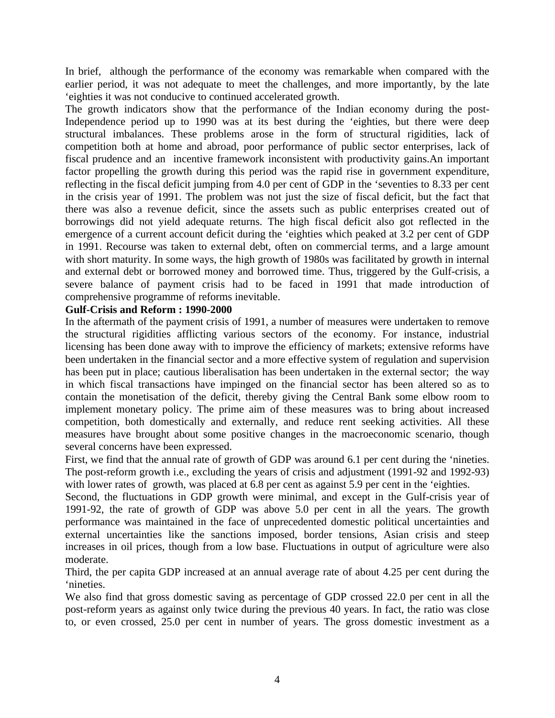In brief, although the performance of the economy was remarkable when compared with the earlier period, it was not adequate to meet the challenges, and more importantly, by the late 'eighties it was not conducive to continued accelerated growth.

The growth indicators show that the performance of the Indian economy during the post-Independence period up to 1990 was at its best during the 'eighties, but there were deep structural imbalances. These problems arose in the form of structural rigidities, lack of competition both at home and abroad, poor performance of public sector enterprises, lack of fiscal prudence and an incentive framework inconsistent with productivity gains.An important factor propelling the growth during this period was the rapid rise in government expenditure, reflecting in the fiscal deficit jumping from 4.0 per cent of GDP in the 'seventies to 8.33 per cent in the crisis year of 1991. The problem was not just the size of fiscal deficit, but the fact that there was also a revenue deficit, since the assets such as public enterprises created out of borrowings did not yield adequate returns. The high fiscal deficit also got reflected in the emergence of a current account deficit during the 'eighties which peaked at 3.2 per cent of GDP in 1991. Recourse was taken to external debt, often on commercial terms, and a large amount with short maturity. In some ways, the high growth of 1980s was facilitated by growth in internal and external debt or borrowed money and borrowed time. Thus, triggered by the Gulf-crisis, a severe balance of payment crisis had to be faced in 1991 that made introduction of comprehensive programme of reforms inevitable.

#### **Gulf-Crisis and Reform : 1990-2000**

In the aftermath of the payment crisis of 1991, a number of measures were undertaken to remove the structural rigidities afflicting various sectors of the economy. For instance, industrial licensing has been done away with to improve the efficiency of markets; extensive reforms have been undertaken in the financial sector and a more effective system of regulation and supervision has been put in place; cautious liberalisation has been undertaken in the external sector; the way in which fiscal transactions have impinged on the financial sector has been altered so as to contain the monetisation of the deficit, thereby giving the Central Bank some elbow room to implement monetary policy. The prime aim of these measures was to bring about increased competition, both domestically and externally, and reduce rent seeking activities. All these measures have brought about some positive changes in the macroeconomic scenario, though several concerns have been expressed.

First, we find that the annual rate of growth of GDP was around 6.1 per cent during the 'nineties. The post-reform growth i.e., excluding the years of crisis and adjustment (1991-92 and 1992-93) with lower rates of growth, was placed at 6.8 per cent as against 5.9 per cent in the 'eighties.

Second, the fluctuations in GDP growth were minimal, and except in the Gulf-crisis year of 1991-92, the rate of growth of GDP was above 5.0 per cent in all the years. The growth performance was maintained in the face of unprecedented domestic political uncertainties and external uncertainties like the sanctions imposed, border tensions, Asian crisis and steep increases in oil prices, though from a low base. Fluctuations in output of agriculture were also moderate.

Third, the per capita GDP increased at an annual average rate of about 4.25 per cent during the 'nineties.

We also find that gross domestic saving as percentage of GDP crossed 22.0 per cent in all the post-reform years as against only twice during the previous 40 years. In fact, the ratio was close to, or even crossed, 25.0 per cent in number of years. The gross domestic investment as a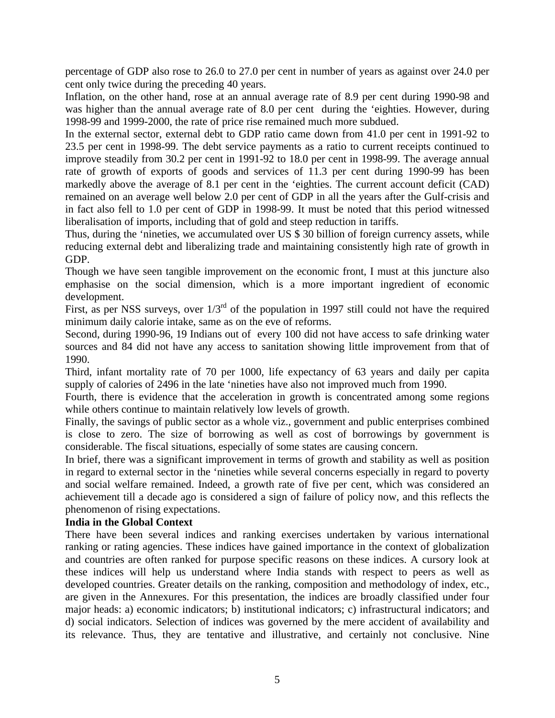percentage of GDP also rose to 26.0 to 27.0 per cent in number of years as against over 24.0 per cent only twice during the preceding 40 years.

Inflation, on the other hand, rose at an annual average rate of 8.9 per cent during 1990-98 and was higher than the annual average rate of 8.0 per cent during the 'eighties. However, during 1998-99 and 1999-2000, the rate of price rise remained much more subdued.

In the external sector, external debt to GDP ratio came down from 41.0 per cent in 1991-92 to 23.5 per cent in 1998-99. The debt service payments as a ratio to current receipts continued to improve steadily from 30.2 per cent in 1991-92 to 18.0 per cent in 1998-99. The average annual rate of growth of exports of goods and services of 11.3 per cent during 1990-99 has been markedly above the average of 8.1 per cent in the 'eighties. The current account deficit (CAD) remained on an average well below 2.0 per cent of GDP in all the years after the Gulf-crisis and in fact also fell to 1.0 per cent of GDP in 1998-99. It must be noted that this period witnessed liberalisation of imports, including that of gold and steep reduction in tariffs.

Thus, during the 'nineties, we accumulated over US \$ 30 billion of foreign currency assets, while reducing external debt and liberalizing trade and maintaining consistently high rate of growth in GDP.

Though we have seen tangible improvement on the economic front, I must at this juncture also emphasise on the social dimension, which is a more important ingredient of economic development.

First, as per NSS surveys, over  $1/3^{rd}$  of the population in 1997 still could not have the required minimum daily calorie intake, same as on the eve of reforms.

Second, during 1990-96, 19 Indians out of every 100 did not have access to safe drinking water sources and 84 did not have any access to sanitation showing little improvement from that of 1990.

Third, infant mortality rate of 70 per 1000, life expectancy of 63 years and daily per capita supply of calories of 2496 in the late 'nineties have also not improved much from 1990.

Fourth, there is evidence that the acceleration in growth is concentrated among some regions while others continue to maintain relatively low levels of growth.

Finally, the savings of public sector as a whole viz., government and public enterprises combined is close to zero. The size of borrowing as well as cost of borrowings by government is considerable. The fiscal situations, especially of some states are causing concern.

In brief, there was a significant improvement in terms of growth and stability as well as position in regard to external sector in the 'nineties while several concerns especially in regard to poverty and social welfare remained. Indeed, a growth rate of five per cent, which was considered an achievement till a decade ago is considered a sign of failure of policy now, and this reflects the phenomenon of rising expectations.

#### **India in the Global Context**

There have been several indices and ranking exercises undertaken by various international ranking or rating agencies. These indices have gained importance in the context of globalization and countries are often ranked for purpose specific reasons on these indices. A cursory look at these indices will help us understand where India stands with respect to peers as well as developed countries. Greater details on the ranking, composition and methodology of index, etc., are given in the Annexures. For this presentation, the indices are broadly classified under four major heads: a) economic indicators; b) institutional indicators; c) infrastructural indicators; and d) social indicators. Selection of indices was governed by the mere accident of availability and its relevance. Thus, they are tentative and illustrative, and certainly not conclusive. Nine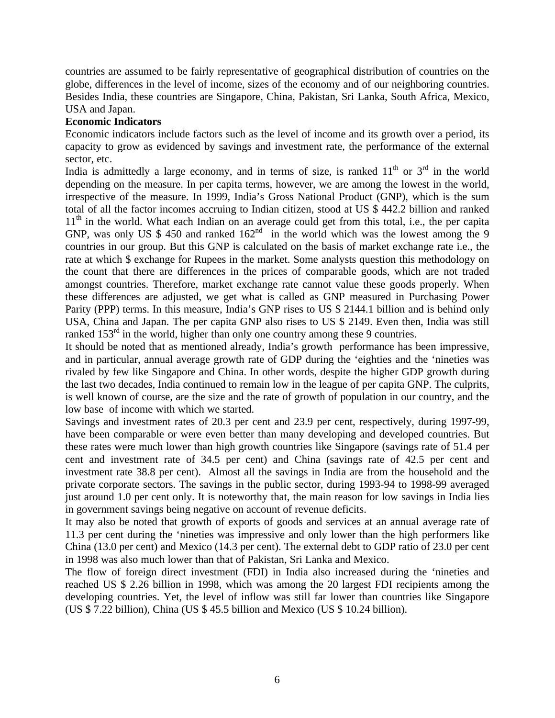countries are assumed to be fairly representative of geographical distribution of countries on the globe, differences in the level of income, sizes of the economy and of our neighboring countries. Besides India, these countries are Singapore, China, Pakistan, Sri Lanka, South Africa, Mexico, USA and Japan.

## **Economic Indicators**

Economic indicators include factors such as the level of income and its growth over a period, its capacity to grow as evidenced by savings and investment rate, the performance of the external sector, etc.

India is admittedly a large economy, and in terms of size, is ranked  $11<sup>th</sup>$  or  $3<sup>rd</sup>$  in the world depending on the measure. In per capita terms, however, we are among the lowest in the world, irrespective of the measure. In 1999, India's Gross National Product (GNP), which is the sum total of all the factor incomes accruing to Indian citizen, stood at US \$ 442.2 billion and ranked  $11<sup>th</sup>$  in the world. What each Indian on an average could get from this total, i.e., the per capita GNP, was only US  $$ 450$  and ranked  $162<sup>nd</sup>$  in the world which was the lowest among the 9 countries in our group. But this GNP is calculated on the basis of market exchange rate i.e., the rate at which \$ exchange for Rupees in the market. Some analysts question this methodology on the count that there are differences in the prices of comparable goods, which are not traded amongst countries. Therefore, market exchange rate cannot value these goods properly. When these differences are adjusted, we get what is called as GNP measured in Purchasing Power Parity (PPP) terms. In this measure, India's GNP rises to US \$ 2144.1 billion and is behind only USA, China and Japan. The per capita GNP also rises to US \$ 2149. Even then, India was still ranked  $153<sup>rd</sup>$  in the world, higher than only one country among these 9 countries.

It should be noted that as mentioned already, India's growth performance has been impressive, and in particular, annual average growth rate of GDP during the 'eighties and the 'nineties was rivaled by few like Singapore and China. In other words, despite the higher GDP growth during the last two decades, India continued to remain low in the league of per capita GNP. The culprits, is well known of course, are the size and the rate of growth of population in our country, and the low base of income with which we started.

Savings and investment rates of 20.3 per cent and 23.9 per cent, respectively, during 1997-99, have been comparable or were even better than many developing and developed countries. But these rates were much lower than high growth countries like Singapore (savings rate of 51.4 per cent and investment rate of 34.5 per cent) and China (savings rate of 42.5 per cent and investment rate 38.8 per cent). Almost all the savings in India are from the household and the private corporate sectors. The savings in the public sector, during 1993-94 to 1998-99 averaged just around 1.0 per cent only. It is noteworthy that, the main reason for low savings in India lies in government savings being negative on account of revenue deficits.

It may also be noted that growth of exports of goods and services at an annual average rate of 11.3 per cent during the 'nineties was impressive and only lower than the high performers like China (13.0 per cent) and Mexico (14.3 per cent). The external debt to GDP ratio of 23.0 per cent in 1998 was also much lower than that of Pakistan, Sri Lanka and Mexico.

The flow of foreign direct investment (FDI) in India also increased during the 'nineties and reached US \$ 2.26 billion in 1998, which was among the 20 largest FDI recipients among the developing countries. Yet, the level of inflow was still far lower than countries like Singapore (US \$ 7.22 billion), China (US \$ 45.5 billion and Mexico (US \$ 10.24 billion).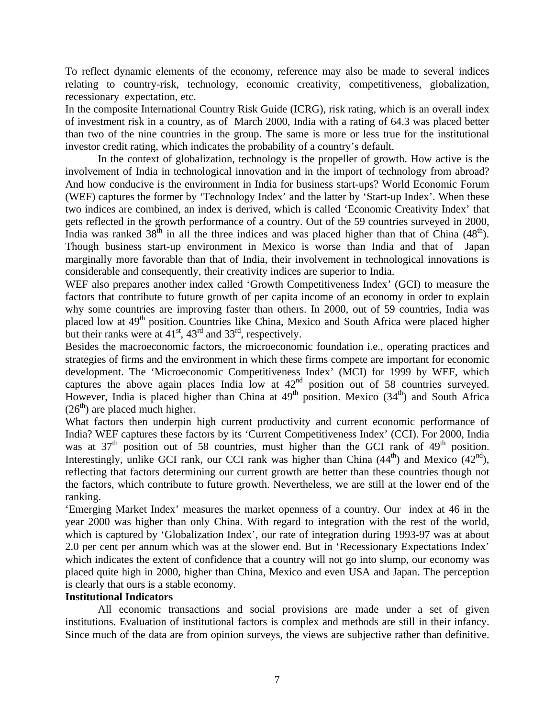To reflect dynamic elements of the economy, reference may also be made to several indices relating to country-risk, technology, economic creativity, competitiveness, globalization, recessionary expectation, etc.

In the composite International Country Risk Guide (ICRG), risk rating, which is an overall index of investment risk in a country, as of March 2000, India with a rating of 64.3 was placed better than two of the nine countries in the group. The same is more or less true for the institutional investor credit rating, which indicates the probability of a country's default.

In the context of globalization, technology is the propeller of growth. How active is the involvement of India in technological innovation and in the import of technology from abroad? And how conducive is the environment in India for business start-ups? World Economic Forum (WEF) captures the former by 'Technology Index' and the latter by 'Start-up Index'. When these two indices are combined, an index is derived, which is called 'Economic Creativity Index' that gets reflected in the growth performance of a country. Out of the 59 countries surveyed in 2000, India was ranked  $38<sup>th</sup>$  in all the three indices and was placed higher than that of China (48<sup>th</sup>). Though business start-up environment in Mexico is worse than India and that of Japan marginally more favorable than that of India, their involvement in technological innovations is considerable and consequently, their creativity indices are superior to India.

WEF also prepares another index called 'Growth Competitiveness Index' (GCI) to measure the factors that contribute to future growth of per capita income of an economy in order to explain why some countries are improving faster than others. In 2000, out of 59 countries, India was placed low at 49<sup>th</sup> position. Countries like China, Mexico and South Africa were placed higher but their ranks were at  $41<sup>st</sup>$ ,  $43<sup>rd</sup>$  and  $33<sup>rd</sup>$ , respectively.

Besides the macroeconomic factors, the microeconomic foundation i.e., operating practices and strategies of firms and the environment in which these firms compete are important for economic development. The 'Microeconomic Competitiveness Index' (MCI) for 1999 by WEF, which captures the above again places India low at  $42<sup>nd</sup>$  position out of 58 countries surveyed. However, India is placed higher than China at  $49<sup>th</sup>$  position. Mexico (34<sup>th</sup>) and South Africa  $(26<sup>th</sup>)$  are placed much higher.

What factors then underpin high current productivity and current economic performance of India? WEF captures these factors by its 'Current Competitiveness Index' (CCI). For 2000, India was at  $37<sup>th</sup>$  position out of 58 countries, must higher than the GCI rank of  $49<sup>th</sup>$  position. Interestingly, unlike GCI rank, our CCI rank was higher than China  $(44<sup>th</sup>)$  and Mexico  $(42<sup>nd</sup>)$ , reflecting that factors determining our current growth are better than these countries though not the factors, which contribute to future growth. Nevertheless, we are still at the lower end of the ranking.

'Emerging Market Index' measures the market openness of a country. Our index at 46 in the year 2000 was higher than only China. With regard to integration with the rest of the world, which is captured by 'Globalization Index', our rate of integration during 1993-97 was at about 2.0 per cent per annum which was at the slower end. But in 'Recessionary Expectations Index' which indicates the extent of confidence that a country will not go into slump, our economy was placed quite high in 2000, higher than China, Mexico and even USA and Japan. The perception is clearly that ours is a stable economy.

#### **Institutional Indicators**

All economic transactions and social provisions are made under a set of given institutions. Evaluation of institutional factors is complex and methods are still in their infancy. Since much of the data are from opinion surveys, the views are subjective rather than definitive.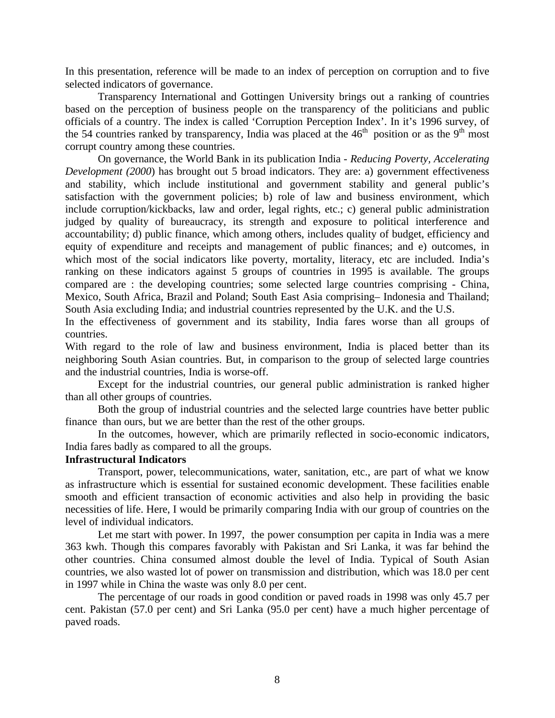In this presentation, reference will be made to an index of perception on corruption and to five selected indicators of governance.

Transparency International and Gottingen University brings out a ranking of countries based on the perception of business people on the transparency of the politicians and public officials of a country. The index is called 'Corruption Perception Index'. In it's 1996 survey, of the 54 countries ranked by transparency, India was placed at the  $46<sup>th</sup>$  position or as the 9<sup>th</sup> most corrupt country among these countries.

On governance, the World Bank in its publication India - *Reducing Poverty, Accelerating Development (2000)* has brought out 5 broad indicators. They are: a) government effectiveness and stability, which include institutional and government stability and general public's satisfaction with the government policies; b) role of law and business environment, which include corruption/kickbacks, law and order, legal rights, etc.; c) general public administration judged by quality of bureaucracy, its strength and exposure to political interference and accountability; d) public finance, which among others, includes quality of budget, efficiency and equity of expenditure and receipts and management of public finances; and e) outcomes, in which most of the social indicators like poverty, mortality, literacy, etc are included. India's ranking on these indicators against 5 groups of countries in 1995 is available. The groups compared are : the developing countries; some selected large countries comprising - China, Mexico, South Africa, Brazil and Poland; South East Asia comprising– Indonesia and Thailand; South Asia excluding India; and industrial countries represented by the U.K. and the U.S.

In the effectiveness of government and its stability, India fares worse than all groups of countries.

With regard to the role of law and business environment, India is placed better than its neighboring South Asian countries. But, in comparison to the group of selected large countries and the industrial countries, India is worse-off.

Except for the industrial countries, our general public administration is ranked higher than all other groups of countries.

Both the group of industrial countries and the selected large countries have better public finance than ours, but we are better than the rest of the other groups.

In the outcomes, however, which are primarily reflected in socio-economic indicators, India fares badly as compared to all the groups.

#### **Infrastructural Indicators**

Transport, power, telecommunications, water, sanitation, etc., are part of what we know as infrastructure which is essential for sustained economic development. These facilities enable smooth and efficient transaction of economic activities and also help in providing the basic necessities of life. Here, I would be primarily comparing India with our group of countries on the level of individual indicators.

Let me start with power. In 1997, the power consumption per capita in India was a mere 363 kwh. Though this compares favorably with Pakistan and Sri Lanka, it was far behind the other countries. China consumed almost double the level of India. Typical of South Asian countries, we also wasted lot of power on transmission and distribution, which was 18.0 per cent in 1997 while in China the waste was only 8.0 per cent.

The percentage of our roads in good condition or paved roads in 1998 was only 45.7 per cent. Pakistan (57.0 per cent) and Sri Lanka (95.0 per cent) have a much higher percentage of paved roads.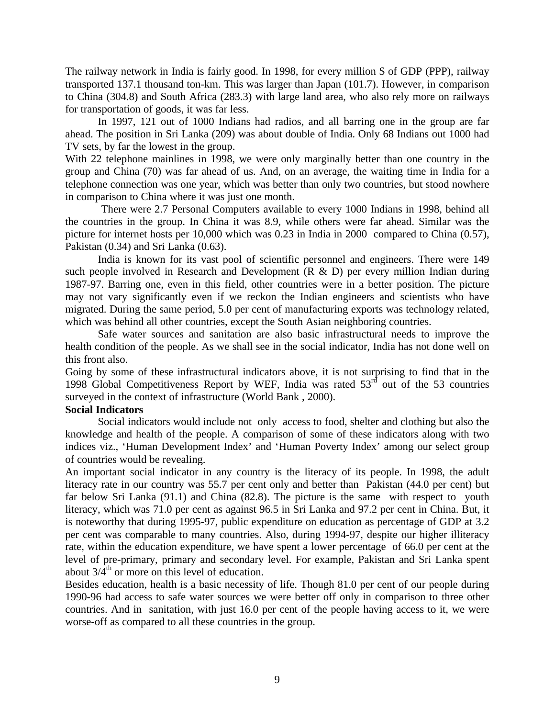The railway network in India is fairly good. In 1998, for every million \$ of GDP (PPP), railway transported 137.1 thousand ton-km. This was larger than Japan (101.7). However, in comparison to China (304.8) and South Africa (283.3) with large land area, who also rely more on railways for transportation of goods, it was far less.

In 1997, 121 out of 1000 Indians had radios, and all barring one in the group are far ahead. The position in Sri Lanka (209) was about double of India. Only 68 Indians out 1000 had TV sets, by far the lowest in the group.

With 22 telephone mainlines in 1998, we were only marginally better than one country in the group and China (70) was far ahead of us. And, on an average, the waiting time in India for a telephone connection was one year, which was better than only two countries, but stood nowhere in comparison to China where it was just one month.

 There were 2.7 Personal Computers available to every 1000 Indians in 1998, behind all the countries in the group. In China it was 8.9, while others were far ahead. Similar was the picture for internet hosts per 10,000 which was 0.23 in India in 2000 compared to China (0.57), Pakistan (0.34) and Sri Lanka (0.63).

India is known for its vast pool of scientific personnel and engineers. There were 149 such people involved in Research and Development  $(R & D)$  per every million Indian during 1987-97. Barring one, even in this field, other countries were in a better position. The picture may not vary significantly even if we reckon the Indian engineers and scientists who have migrated. During the same period, 5.0 per cent of manufacturing exports was technology related, which was behind all other countries, except the South Asian neighboring countries.

Safe water sources and sanitation are also basic infrastructural needs to improve the health condition of the people. As we shall see in the social indicator, India has not done well on this front also.

Going by some of these infrastructural indicators above, it is not surprising to find that in the 1998 Global Competitiveness Report by WEF, India was rated  $53<sup>rd</sup>$  out of the 53 countries surveyed in the context of infrastructure (World Bank , 2000).

#### **Social Indicators**

Social indicators would include not only access to food, shelter and clothing but also the knowledge and health of the people. A comparison of some of these indicators along with two indices viz., 'Human Development Index' and 'Human Poverty Index' among our select group of countries would be revealing.

An important social indicator in any country is the literacy of its people. In 1998, the adult literacy rate in our country was 55.7 per cent only and better than Pakistan (44.0 per cent) but far below Sri Lanka (91.1) and China (82.8). The picture is the same with respect to youth literacy, which was 71.0 per cent as against 96.5 in Sri Lanka and 97.2 per cent in China. But, it is noteworthy that during 1995-97, public expenditure on education as percentage of GDP at 3.2 per cent was comparable to many countries. Also, during 1994-97, despite our higher illiteracy rate, within the education expenditure, we have spent a lower percentage of 66.0 per cent at the level of pre-primary, primary and secondary level. For example, Pakistan and Sri Lanka spent about  $3/4^{th}$  or more on this level of education.

Besides education, health is a basic necessity of life. Though 81.0 per cent of our people during 1990-96 had access to safe water sources we were better off only in comparison to three other countries. And in sanitation, with just 16.0 per cent of the people having access to it, we were worse-off as compared to all these countries in the group.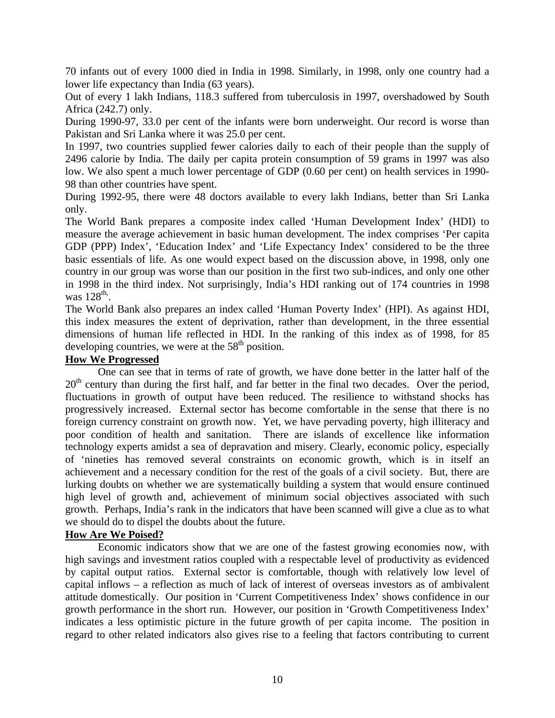70 infants out of every 1000 died in India in 1998. Similarly, in 1998, only one country had a lower life expectancy than India (63 years).

Out of every 1 lakh Indians, 118.3 suffered from tuberculosis in 1997, overshadowed by South Africa (242.7) only.

During 1990-97, 33.0 per cent of the infants were born underweight. Our record is worse than Pakistan and Sri Lanka where it was 25.0 per cent.

In 1997, two countries supplied fewer calories daily to each of their people than the supply of 2496 calorie by India. The daily per capita protein consumption of 59 grams in 1997 was also low. We also spent a much lower percentage of GDP (0.60 per cent) on health services in 1990- 98 than other countries have spent.

During 1992-95, there were 48 doctors available to every lakh Indians, better than Sri Lanka only.

The World Bank prepares a composite index called 'Human Development Index' (HDI) to measure the average achievement in basic human development. The index comprises 'Per capita GDP (PPP) Index', 'Education Index' and 'Life Expectancy Index' considered to be the three basic essentials of life. As one would expect based on the discussion above, in 1998, only one country in our group was worse than our position in the first two sub-indices, and only one other in 1998 in the third index. Not surprisingly, India's HDI ranking out of 174 countries in 1998 was  $128^{\text{th}}$ .

The World Bank also prepares an index called 'Human Poverty Index' (HPI). As against HDI, this index measures the extent of deprivation, rather than development, in the three essential dimensions of human life reflected in HDI. In the ranking of this index as of 1998, for 85 developing countries, we were at the  $58<sup>th</sup>$  position.

## **How We Progressed**

One can see that in terms of rate of growth, we have done better in the latter half of the  $20<sup>th</sup>$  century than during the first half, and far better in the final two decades. Over the period, fluctuations in growth of output have been reduced. The resilience to withstand shocks has progressively increased. External sector has become comfortable in the sense that there is no foreign currency constraint on growth now. Yet, we have pervading poverty, high illiteracy and poor condition of health and sanitation. There are islands of excellence like information technology experts amidst a sea of depravation and misery. Clearly, economic policy, especially of 'nineties has removed several constraints on economic growth, which is in itself an achievement and a necessary condition for the rest of the goals of a civil society. But, there are lurking doubts on whether we are systematically building a system that would ensure continued high level of growth and, achievement of minimum social objectives associated with such growth. Perhaps, India's rank in the indicators that have been scanned will give a clue as to what we should do to dispel the doubts about the future.

#### **How Are We Poised?**

Economic indicators show that we are one of the fastest growing economies now, with high savings and investment ratios coupled with a respectable level of productivity as evidenced by capital output ratios. External sector is comfortable, though with relatively low level of capital inflows – a reflection as much of lack of interest of overseas investors as of ambivalent attitude domestically. Our position in 'Current Competitiveness Index' shows confidence in our growth performance in the short run. However, our position in 'Growth Competitiveness Index' indicates a less optimistic picture in the future growth of per capita income. The position in regard to other related indicators also gives rise to a feeling that factors contributing to current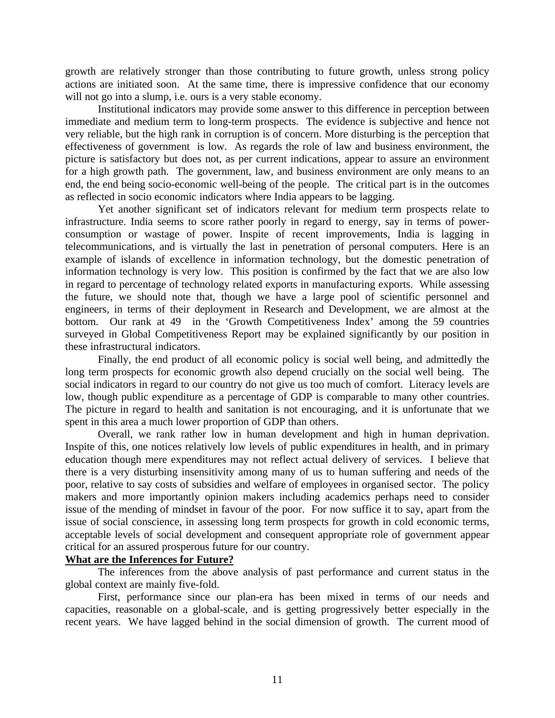growth are relatively stronger than those contributing to future growth, unless strong policy actions are initiated soon. At the same time, there is impressive confidence that our economy will not go into a slump, i.e. ours is a very stable economy.

Institutional indicators may provide some answer to this difference in perception between immediate and medium term to long-term prospects. The evidence is subjective and hence not very reliable, but the high rank in corruption is of concern. More disturbing is the perception that effectiveness of government is low. As regards the role of law and business environment, the picture is satisfactory but does not, as per current indications, appear to assure an environment for a high growth path. The government, law, and business environment are only means to an end, the end being socio-economic well-being of the people. The critical part is in the outcomes as reflected in socio economic indicators where India appears to be lagging.

Yet another significant set of indicators relevant for medium term prospects relate to infrastructure. India seems to score rather poorly in regard to energy, say in terms of powerconsumption or wastage of power. Inspite of recent improvements, India is lagging in telecommunications, and is virtually the last in penetration of personal computers. Here is an example of islands of excellence in information technology, but the domestic penetration of information technology is very low. This position is confirmed by the fact that we are also low in regard to percentage of technology related exports in manufacturing exports. While assessing the future, we should note that, though we have a large pool of scientific personnel and engineers, in terms of their deployment in Research and Development, we are almost at the bottom. Our rank at 49 in the 'Growth Competitiveness Index' among the 59 countries surveyed in Global Competitiveness Report may be explained significantly by our position in these infrastructural indicators.

Finally, the end product of all economic policy is social well being, and admittedly the long term prospects for economic growth also depend crucially on the social well being. The social indicators in regard to our country do not give us too much of comfort. Literacy levels are low, though public expenditure as a percentage of GDP is comparable to many other countries. The picture in regard to health and sanitation is not encouraging, and it is unfortunate that we spent in this area a much lower proportion of GDP than others.

Overall, we rank rather low in human development and high in human deprivation. Inspite of this, one notices relatively low levels of public expenditures in health, and in primary education though mere expenditures may not reflect actual delivery of services. I believe that there is a very disturbing insensitivity among many of us to human suffering and needs of the poor, relative to say costs of subsidies and welfare of employees in organised sector. The policy makers and more importantly opinion makers including academics perhaps need to consider issue of the mending of mindset in favour of the poor. For now suffice it to say, apart from the issue of social conscience, in assessing long term prospects for growth in cold economic terms, acceptable levels of social development and consequent appropriate role of government appear critical for an assured prosperous future for our country.

#### **What are the Inferences for Future?**

The inferences from the above analysis of past performance and current status in the global context are mainly five-fold.

First, performance since our plan-era has been mixed in terms of our needs and capacities, reasonable on a global-scale, and is getting progressively better especially in the recent years. We have lagged behind in the social dimension of growth. The current mood of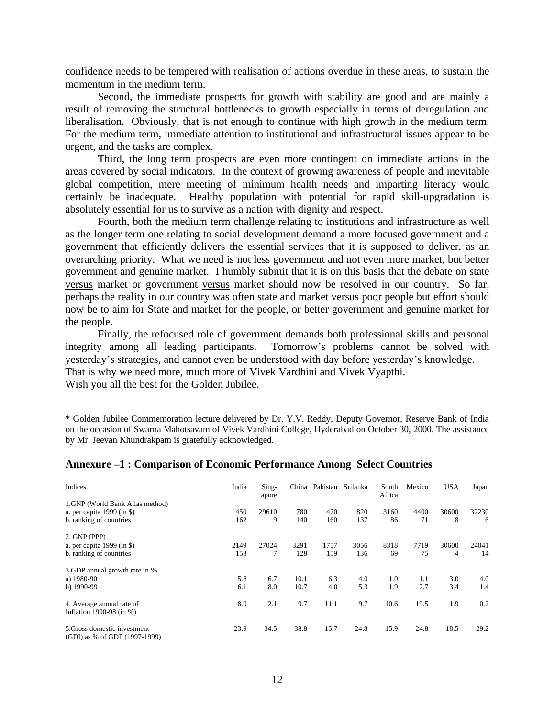confidence needs to be tempered with realisation of actions overdue in these areas, to sustain the momentum in the medium term.

Second, the immediate prospects for growth with stability are good and are mainly a result of removing the structural bottlenecks to growth especially in terms of deregulation and liberalisation. Obviously, that is not enough to continue with high growth in the medium term. For the medium term, immediate attention to institutional and infrastructural issues appear to be urgent, and the tasks are complex.

Third, the long term prospects are even more contingent on immediate actions in the areas covered by social indicators. In the context of growing awareness of people and inevitable global competition, mere meeting of minimum health needs and imparting literacy would certainly be inadequate. Healthy population with potential for rapid skill-upgradation is absolutely essential for us to survive as a nation with dignity and respect.

Fourth, both the medium term challenge relating to institutions and infrastructure as well as the longer term one relating to social development demand a more focused government and a government that efficiently delivers the essential services that it is supposed to deliver, as an overarching priority. What we need is not less government and not even more market, but better government and genuine market. I humbly submit that it is on this basis that the debate on state versus market or government versus market should now be resolved in our country. So far, perhaps the reality in our country was often state and market versus poor people but effort should now be to aim for State and market for the people, or better government and genuine market for the people.

Finally, the refocused role of government demands both professional skills and personal integrity among all leading participants. Tomorrow's problems cannot be solved with yesterday's strategies, and cannot even be understood with day before yesterday's knowledge. That is why we need more, much more of Vivek Vardhini and Vivek Vyapthi. Wish you all the best for the Golden Jubilee.

\* Golden Jubilee Commemoration lecture delivered by Dr. Y.V. Reddy, Deputy Governor, Reserve Bank of India on the occasion of Swarna Mahotsavam of Vivek Vardhini College, Hyderabad on October 30, 2000. The assistance by Mr. Jeevan Khundrakpam is gratefully acknowledged.

| Indices                                                                                  | India       | Sing-<br>apore | China        | Pakistan    | Srilanka    | South<br>Africa | Mexico     | <b>USA</b>              | Japan       |
|------------------------------------------------------------------------------------------|-------------|----------------|--------------|-------------|-------------|-----------------|------------|-------------------------|-------------|
| 1.GNP (World Bank Atlas method)<br>a. per capita 1999 (in \$)<br>b. ranking of countries | 450<br>162  | 29610<br>9     | 780<br>140   | 470<br>160  | 820<br>137  | 3160<br>86      | 4400<br>71 | 30600<br>8              | 32230<br>6  |
| 2. GNP (PPP)<br>a. per capita 1999 (in \$)<br>b. ranking of countries                    | 2149<br>153 | 27024<br>7     | 3291<br>128  | 1757<br>159 | 3056<br>136 | 8318<br>69      | 7719<br>75 | 30600<br>$\overline{4}$ | 24041<br>14 |
| 3.GDP annual growth rate in %<br>a) 1980-90<br>b) 1990-99                                | 5.8<br>6.1  | 6.7<br>8.0     | 10.1<br>10.7 | 6.3<br>4.0  | 4.0<br>5.3  | 1.0<br>1.9      | 1.1<br>2.7 | 3.0<br>3.4              | 4.0<br>1.4  |
| 4. Average annual rate of<br>Inflation 1990-98 (in %)                                    | 8.9         | 2.1            | 9.7          | 11.1        | 9.7         | 10.6            | 19.5       | 1.9                     | 0.2         |
| 5. Gross domestic investment<br>(GDI) as % of GDP (1997-1999)                            | 23.9        | 34.5           | 38.8         | 15.7        | 24.8        | 15.9            | 24.8       | 18.5                    | 29.2        |

#### **Annexure –1 : Comparison of Economic Performance Among Select Countries**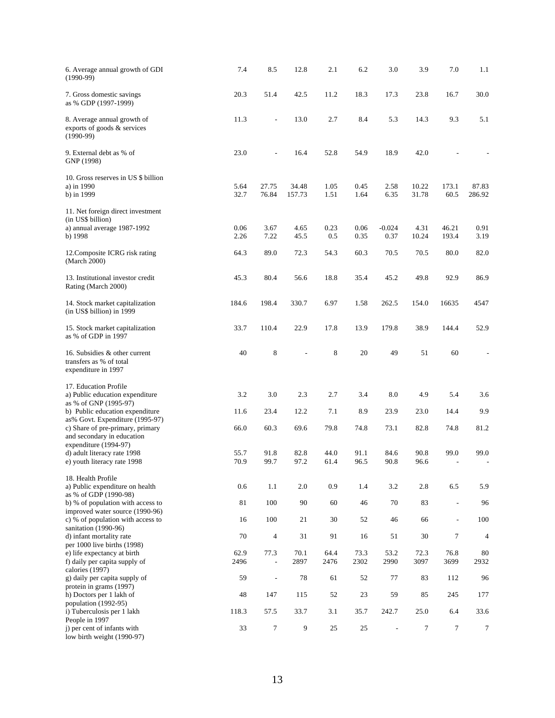| 6. Average annual growth of GDI<br>$(1990-99)$                                                                       | 7.4               | 8.5                          | 12.8             | 2.1          | 6.2          | 3.0                      | 3.9            | 7.0                                                  | 1.1                      |
|----------------------------------------------------------------------------------------------------------------------|-------------------|------------------------------|------------------|--------------|--------------|--------------------------|----------------|------------------------------------------------------|--------------------------|
| 7. Gross domestic savings<br>as % GDP (1997-1999)                                                                    | 20.3              | 51.4                         | 42.5             | 11.2         | 18.3         | 17.3                     | 23.8           | 16.7                                                 | 30.0                     |
| 8. Average annual growth of<br>exports of goods & services<br>$(1990-99)$                                            | 11.3              | $\qquad \qquad \blacksquare$ | 13.0             | 2.7          | 8.4          | 5.3                      | 14.3           | 9.3                                                  | 5.1                      |
| 9. External debt as % of<br>GNP (1998)                                                                               | 23.0              | L,                           | 16.4             | 52.8         | 54.9         | 18.9                     | 42.0           |                                                      |                          |
| 10. Gross reserves in US \$ billion<br>a) in 1990<br>b) in 1999                                                      | 5.64<br>32.7      | 27.75<br>76.84               | 34.48<br>157.73  | 1.05<br>1.51 | 0.45<br>1.64 | 2.58<br>6.35             | 10.22<br>31.78 | 173.1<br>60.5                                        | 87.83<br>286.92          |
| 11. Net foreign direct investment<br>(in US\$ billion)<br>a) annual average 1987-1992<br>b) 1998                     | 0.06<br>2.26      | 3.67<br>7.22                 | 4.65<br>45.5     | 0.23<br>0.5  | 0.06<br>0.35 | $-0.024$<br>0.37         | 4.31<br>10.24  | 46.21<br>193.4                                       | 0.91<br>3.19             |
| 12. Composite ICRG risk rating<br>(March 2000)                                                                       | 64.3              | 89.0                         | 72.3             | 54.3         | 60.3         | 70.5                     | 70.5           | 80.0                                                 | 82.0                     |
| 13. Institutional investor credit<br>Rating (March 2000)                                                             | 45.3              | 80.4                         | 56.6             | 18.8         | 35.4         | 45.2                     | 49.8           | 92.9                                                 | 86.9                     |
| 14. Stock market capitalization<br>(in US\$ billion) in 1999                                                         | 184.6             | 198.4                        | 330.7            | 6.97         | 1.58         | 262.5                    | 154.0          | 16635                                                | 4547                     |
| 15. Stock market capitalization<br>as % of GDP in 1997                                                               | 33.7              | 110.4                        | 22.9             | 17.8         | 13.9         | 179.8                    | 38.9           | 144.4                                                | 52.9                     |
| 16. Subsidies & other current<br>transfers as % of total<br>expenditure in 1997                                      | 40                | $\,$ 8 $\,$                  |                  | 8            | 20           | 49                       | 51             | 60                                                   | $\overline{\phantom{0}}$ |
| 17. Education Profile<br>a) Public education expenditure<br>as % of GNP (1995-97)<br>b) Public education expenditure | 3.2<br>11.6       | 3.0<br>23.4                  | 2.3<br>12.2      | 2.7<br>7.1   | 3.4<br>8.9   | 8.0<br>23.9              | 4.9<br>23.0    | 5.4<br>14.4                                          | 3.6<br>9.9               |
| as% Govt. Expenditure (1995-97)<br>c) Share of pre-primary, primary<br>and secondary in education                    | 66.0              | 60.3                         | 69.6             | 79.8         | 74.8         | 73.1                     | 82.8           | 74.8                                                 | 81.2                     |
| expenditure (1994-97)<br>d) adult literacy rate 1998<br>e) youth literacy rate 1998                                  | 55.7<br>70.9      | 91.8<br>99.7                 | 82.8<br>97.2     | 44.0<br>61.4 | 91.1<br>96.5 | 84.6<br>90.8             | 90.8<br>96.6   | 99.0<br>$\overline{\phantom{a}}$                     | 99.0                     |
| 18. Health Profile<br>a) Public expenditure on health<br>as % of GDP (1990-98)                                       | 0.6               | 1.1                          | 2.0              | 0.9          | 1.4          | 3.2                      | 2.8            | 6.5                                                  | 5.9                      |
| b) % of population with access to<br>improved water source (1990-96)<br>c) % of population with access to            | $8\sqrt{1}$<br>16 | 100<br>100                   | 90<br>21         | 60<br>30     | 46<br>52     | 70<br>46                 | 83<br>66       | $\overline{\phantom{a}}$<br>$\overline{\phantom{a}}$ | 96<br>100                |
| sanitation (1990-96)<br>d) infant mortality rate                                                                     | 70                | $\overline{4}$               | 31               | 91           | 16           | 51                       | 30             | $\overline{7}$                                       | $\overline{4}$           |
| per 1000 live births (1998)<br>e) life expectancy at birth<br>f) daily per capita supply of<br>calories (1997)       | 62.9<br>2496      | 77.3<br>$\blacksquare$       | 70.1<br>2897     | 64.4<br>2476 | 73.3<br>2302 | 53.2<br>2990             | 72.3<br>3097   | 76.8<br>3699                                         | 80<br>2932               |
| g) daily per capita supply of<br>protein in grams (1997)                                                             | 59                | $\blacksquare$               | 78               | 61           | 52           | 77                       | 83             | 112                                                  | 96                       |
| h) Doctors per 1 lakh of<br>population (1992-95)<br>i) Tuberculosis per 1 lakh                                       | 48<br>118.3       | 147<br>57.5                  | 115<br>33.7      | 52<br>3.1    | 23<br>35.7   | 59<br>242.7              | 85<br>25.0     | 245<br>6.4                                           | 177<br>33.6              |
| People in 1997<br>i) per cent of infants with<br>low birth weight (1990-97)                                          | 33                | $\overline{7}$               | $\boldsymbol{9}$ | 25           | 25           | $\overline{\phantom{a}}$ | 7              | $\tau$                                               | 7                        |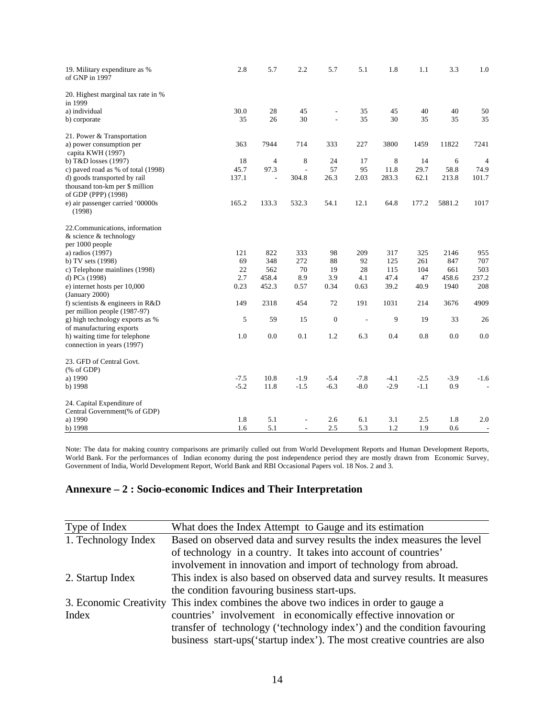| 19. Military expenditure as %<br>of GNP in 1997       | 2.8      | 5.7                      | 2.2                      | 5.7            | 5.1            | 1.8        | 1.1        | 3.3        | 1.0                      |
|-------------------------------------------------------|----------|--------------------------|--------------------------|----------------|----------------|------------|------------|------------|--------------------------|
| 20. Highest marginal tax rate in %<br>in 1999         |          |                          |                          |                |                |            |            |            |                          |
| a) individual                                         | 30.0     | 28                       | 45                       | $\overline{a}$ | 35             | 45         | 40         | 40         | 50                       |
| b) corporate                                          | 35       | 26                       | 30                       | $\frac{1}{2}$  | 35             | 30         | 35         | 35         | 35                       |
| 21. Power & Transportation                            |          |                          |                          |                |                |            |            |            |                          |
| a) power consumption per<br>capita KWH (1997)         | 363      | 7944                     | 714                      | 333            | 227            | 3800       | 1459       | 11822      | 7241                     |
| b) T&D losses (1997)                                  | 18       | $\overline{4}$           | 8                        | 24             | 17             | 8          | 14         | 6          | $\overline{4}$           |
| c) paved road as % of total (1998)                    | 45.7     | 97.3                     | $\overline{a}$           | 57             | 95             | 11.8       | 29.7       | 58.8       | 74.9                     |
| d) goods transported by rail                          | 137.1    | $\overline{\phantom{a}}$ | 304.8                    | 26.3           | 2.03           | 283.3      | 62.1       | 213.8      | 101.7                    |
| thousand ton-km per \$ million<br>of GDP (PPP) (1998) |          |                          |                          |                |                |            |            |            |                          |
| e) air passenger carried '00000s<br>(1998)            | 165.2    | 133.3                    | 532.3                    | 54.1           | 12.1           | 64.8       | 177.2      | 5881.2     | 1017                     |
| 22. Communications, information                       |          |                          |                          |                |                |            |            |            |                          |
| & science & technology                                |          |                          |                          |                |                |            |            |            |                          |
| per 1000 people                                       |          |                          |                          |                |                |            |            |            |                          |
| a) radios (1997)                                      | 121      | 822                      | 333                      | 98             | 209            | 317        | 325        | 2146       | 955                      |
| b) TV sets (1998)                                     | 69<br>22 | 348<br>562               | 272<br>70                | 88<br>19       | 92<br>28       | 125<br>115 | 261<br>104 | 847<br>661 | 707<br>503               |
| c) Telephone mainlines (1998)<br>d) PCs (1998)        | 2.7      | 458.4                    | 8.9                      | 3.9            | 4.1            | 47.4       | 47         | 458.6      | 237.2                    |
| e) internet hosts per 10,000                          | 0.23     | 452.3                    | 0.57                     | 0.34           | 0.63           | 39.2       | 40.9       | 1940       | 208                      |
| (January 2000)                                        |          |                          |                          |                |                |            |            |            |                          |
| f) scientists $\&$ engineers in R&D                   | 149      | 2318                     | 454                      | 72             | 191            | 1031       | 214        | 3676       | 4909                     |
| per million people (1987-97)                          |          |                          |                          |                |                |            |            |            |                          |
| g) high technology exports as %                       | 5        | 59                       | 15                       | $\mathbf{0}$   | $\overline{a}$ | 9          | 19         | 33         | 26                       |
| of manufacturing exports                              |          |                          |                          |                |                |            |            |            |                          |
| h) waiting time for telephone                         | 1.0      | 0.0                      | 0.1                      | 1.2            | 6.3            | 0.4        | 0.8        | 0.0        | 0.0                      |
| connection in years (1997)                            |          |                          |                          |                |                |            |            |            |                          |
| 23. GFD of Central Govt.                              |          |                          |                          |                |                |            |            |            |                          |
| $(% \mathcal{L}_{0} \cap \mathcal{L}_{1})$ (% of GDP) |          |                          |                          |                |                |            |            |            |                          |
| a) 1990                                               | $-7.5$   | 10.8                     | $-1.9$                   | $-5.4$         | $-7.8$         | $-4.1$     | $-2.5$     | $-3.9$     | $-1.6$                   |
| b) 1998                                               | $-5.2$   | 11.8                     | $-1.5$                   | $-6.3$         | $-8.0$         | $-2.9$     | $-1.1$     | 0.9        | $\overline{\phantom{a}}$ |
| 24. Capital Expenditure of                            |          |                          |                          |                |                |            |            |            |                          |
| Central Government(% of GDP)                          |          |                          |                          |                |                |            |            |            |                          |
| a) 1990                                               | 1.8      | 5.1                      | $\overline{a}$           | 2.6            | 6.1            | 3.1        | 2.5        | 1.8        | 2.0                      |
| b) 1998                                               | 1.6      | 5.1                      | $\overline{\phantom{a}}$ | 2.5            | 5.3            | 1.2        | 1.9        | 0.6        | $\overline{\phantom{a}}$ |

Note: The data for making country comparisons are primarily culled out from World Development Reports and Human Development Reports, World Bank. For the performances of Indian economy during the post independence period they are mostly drawn from Economic Survey, Government of India, World Development Report, World Bank and RBI Occasional Papers vol. 18 Nos. 2 and 3.

### **Annexure – 2 : Socio-economic Indices and Their Interpretation**

| Type of Index          | What does the Index Attempt to Gauge and its estimation                    |
|------------------------|----------------------------------------------------------------------------|
| 1. Technology Index    | Based on observed data and survey results the index measures the level     |
|                        | of technology in a country. It takes into account of countries'            |
|                        | involvement in innovation and import of technology from abroad.            |
| 2. Startup Index       | This index is also based on observed data and survey results. It measures  |
|                        | the condition favouring business start-ups.                                |
| 3. Economic Creativity | This index combines the above two indices in order to gauge a              |
| Index                  | countries' involvement in economically effective innovation or             |
|                        | transfer of technology ('technology index') and the condition favouring    |
|                        | business start-ups ('startup index'). The most creative countries are also |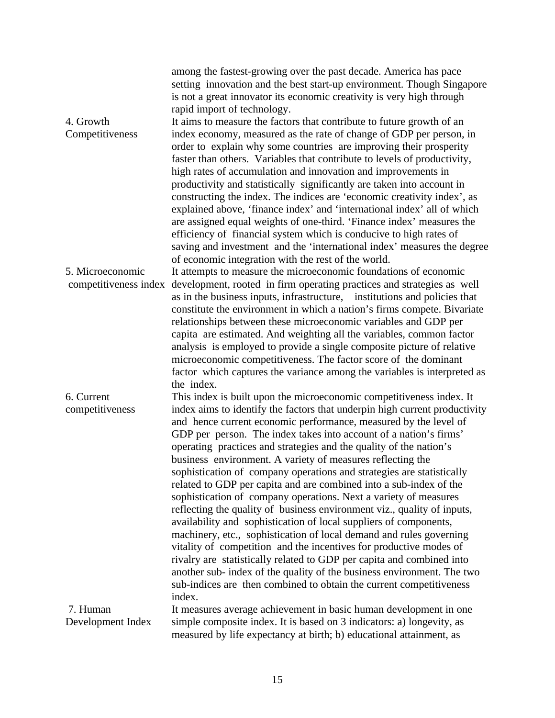|                                           | among the fastest-growing over the past decade. America has pace<br>setting innovation and the best start-up environment. Though Singapore<br>is not a great innovator its economic creativity is very high through<br>rapid import of technology.                                                                                                                                                                                                                                                                                                                                                                                                                                                                                                                                                                                                                                                                                                                                                                                                                                                                                                                                  |
|-------------------------------------------|-------------------------------------------------------------------------------------------------------------------------------------------------------------------------------------------------------------------------------------------------------------------------------------------------------------------------------------------------------------------------------------------------------------------------------------------------------------------------------------------------------------------------------------------------------------------------------------------------------------------------------------------------------------------------------------------------------------------------------------------------------------------------------------------------------------------------------------------------------------------------------------------------------------------------------------------------------------------------------------------------------------------------------------------------------------------------------------------------------------------------------------------------------------------------------------|
| 4. Growth<br>Competitiveness              | It aims to measure the factors that contribute to future growth of an<br>index economy, measured as the rate of change of GDP per person, in<br>order to explain why some countries are improving their prosperity<br>faster than others. Variables that contribute to levels of productivity,<br>high rates of accumulation and innovation and improvements in<br>productivity and statistically significantly are taken into account in<br>constructing the index. The indices are 'economic creativity index', as                                                                                                                                                                                                                                                                                                                                                                                                                                                                                                                                                                                                                                                                |
|                                           | explained above, 'finance index' and 'international index' all of which<br>are assigned equal weights of one-third. 'Finance index' measures the<br>efficiency of financial system which is conducive to high rates of<br>saving and investment and the 'international index' measures the degree<br>of economic integration with the rest of the world.                                                                                                                                                                                                                                                                                                                                                                                                                                                                                                                                                                                                                                                                                                                                                                                                                            |
| 5. Microeconomic<br>competitiveness index | It attempts to measure the microeconomic foundations of economic<br>development, rooted in firm operating practices and strategies as well<br>as in the business inputs, infrastructure, institutions and policies that<br>constitute the environment in which a nation's firms compete. Bivariate<br>relationships between these microeconomic variables and GDP per<br>capita are estimated. And weighting all the variables, common factor<br>analysis is employed to provide a single composite picture of relative<br>microeconomic competitiveness. The factor score of the dominant<br>factor which captures the variance among the variables is interpreted as<br>the index.                                                                                                                                                                                                                                                                                                                                                                                                                                                                                                |
| 6. Current<br>competitiveness             | This index is built upon the microeconomic competitiveness index. It<br>index aims to identify the factors that underpin high current productivity<br>and hence current economic performance, measured by the level of<br>GDP per person. The index takes into account of a nation's firms'<br>operating practices and strategies and the quality of the nation's<br>business environment. A variety of measures reflecting the<br>sophistication of company operations and strategies are statistically<br>related to GDP per capita and are combined into a sub-index of the<br>sophistication of company operations. Next a variety of measures<br>reflecting the quality of business environment viz., quality of inputs,<br>availability and sophistication of local suppliers of components,<br>machinery, etc., sophistication of local demand and rules governing<br>vitality of competition and the incentives for productive modes of<br>rivalry are statistically related to GDP per capita and combined into<br>another sub- index of the quality of the business environment. The two<br>sub-indices are then combined to obtain the current competitiveness<br>index. |
| 7. Human<br>Development Index             | It measures average achievement in basic human development in one<br>simple composite index. It is based on 3 indicators: a) longevity, as<br>measured by life expectancy at birth; b) educational attainment, as                                                                                                                                                                                                                                                                                                                                                                                                                                                                                                                                                                                                                                                                                                                                                                                                                                                                                                                                                                   |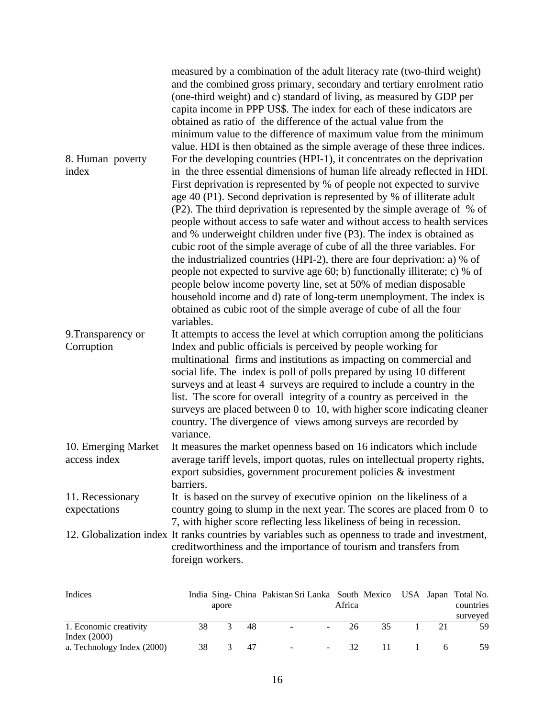|                                     | measured by a combination of the adult literacy rate (two-third weight)<br>and the combined gross primary, secondary and tertiary enrolment ratio<br>(one-third weight) and c) standard of living, as measured by GDP per<br>capita income in PPP US\$. The index for each of these indicators are<br>obtained as ratio of the difference of the actual value from the<br>minimum value to the difference of maximum value from the minimum<br>value. HDI is then obtained as the simple average of these three indices.                                                                                                                                                                                                                                                                                                                                                                                                                                                                                               |
|-------------------------------------|------------------------------------------------------------------------------------------------------------------------------------------------------------------------------------------------------------------------------------------------------------------------------------------------------------------------------------------------------------------------------------------------------------------------------------------------------------------------------------------------------------------------------------------------------------------------------------------------------------------------------------------------------------------------------------------------------------------------------------------------------------------------------------------------------------------------------------------------------------------------------------------------------------------------------------------------------------------------------------------------------------------------|
| 8. Human poverty<br>index           | For the developing countries (HPI-1), it concentrates on the deprivation<br>in the three essential dimensions of human life already reflected in HDI.<br>First deprivation is represented by % of people not expected to survive<br>age 40 (P1). Second deprivation is represented by % of illiterate adult<br>(P2). The third deprivation is represented by the simple average of % of<br>people without access to safe water and without access to health services<br>and % underweight children under five (P3). The index is obtained as<br>cubic root of the simple average of cube of all the three variables. For<br>the industrialized countries (HPI-2), there are four deprivation: a) % of<br>people not expected to survive age 60; b) functionally illiterate; c) % of<br>people below income poverty line, set at 50% of median disposable<br>household income and d) rate of long-term unemployment. The index is<br>obtained as cubic root of the simple average of cube of all the four<br>variables. |
| 9. Transparency or<br>Corruption    | It attempts to access the level at which corruption among the politicians<br>Index and public officials is perceived by people working for<br>multinational firms and institutions as impacting on commercial and<br>social life. The index is poll of polls prepared by using 10 different<br>surveys and at least 4 surveys are required to include a country in the<br>list. The score for overall integrity of a country as perceived in the<br>surveys are placed between 0 to 10, with higher score indicating cleaner<br>country. The divergence of views among surveys are recorded by<br>variance.                                                                                                                                                                                                                                                                                                                                                                                                            |
| 10. Emerging Market<br>access index | It measures the market openness based on 16 indicators which include<br>average tariff levels, import quotas, rules on intellectual property rights,<br>export subsidies, government procurement policies & investment<br>barriers.                                                                                                                                                                                                                                                                                                                                                                                                                                                                                                                                                                                                                                                                                                                                                                                    |
| 11. Recessionary<br>expectations    | It is based on the survey of executive opinion on the likeliness of a<br>country going to slump in the next year. The scores are placed from 0 to<br>7, with higher score reflecting less likeliness of being in recession.                                                                                                                                                                                                                                                                                                                                                                                                                                                                                                                                                                                                                                                                                                                                                                                            |
|                                     | 12. Globalization index It ranks countries by variables such as openness to trade and investment,<br>creditworthiness and the importance of tourism and transfers from<br>foreign workers.                                                                                                                                                                                                                                                                                                                                                                                                                                                                                                                                                                                                                                                                                                                                                                                                                             |

| Indices                    |    | apore |    | India Sing-China Pakistan Sri Lanka South Mexico USA Japan Total No. | Africa |     |    | countries      |
|----------------------------|----|-------|----|----------------------------------------------------------------------|--------|-----|----|----------------|
| 1. Economic creativity     | 38 | 3     | 48 | $\sim$<br>$\overline{\phantom{0}}$                                   | -26    | 35  | 21 | surveyed<br>59 |
| Index $(2000)$             |    |       |    |                                                                      |        |     |    |                |
| a. Technology Index (2000) | 38 | 3     | 47 | $\overline{\phantom{a}}$                                             | 32.    | 11. | -6 | 59             |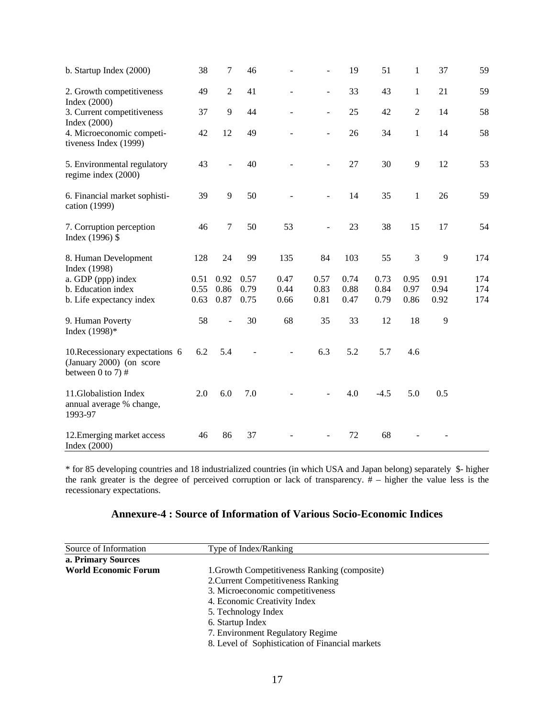| b. Startup Index (2000)                                                              | 38   | $\tau$         | 46   |      | $\overline{a}$ | 19   | 51     | $\mathbf{1}$   | 37           | 59  |
|--------------------------------------------------------------------------------------|------|----------------|------|------|----------------|------|--------|----------------|--------------|-----|
| 2. Growth competitiveness<br>Index $(2000)$                                          | 49   | $\overline{2}$ | 41   |      | $\overline{a}$ | 33   | 43     | $\mathbf{1}$   | 21           | 59  |
| 3. Current competitiveness<br>Index $(2000)$                                         | 37   | 9              | 44   |      | $\overline{a}$ | 25   | 42     | $\overline{2}$ | 14           | 58  |
| 4. Microeconomic competi-<br>tiveness Index (1999)                                   | 42   | 12             | 49   |      | $\overline{a}$ | 26   | 34     | $\mathbf{1}$   | 14           | 58  |
| 5. Environmental regulatory<br>regime index (2000)                                   | 43   |                | 40   |      |                | 27   | 30     | 9              | 12           | 53  |
| 6. Financial market sophisti-<br>cation (1999)                                       | 39   | 9              | 50   |      | $\overline{a}$ | 14   | 35     | $\mathbf{1}$   | 26           | 59  |
| 7. Corruption perception<br>Index (1996) \$                                          | 46   | $\tau$         | 50   | 53   | $\overline{a}$ | 23   | 38     | 15             | 17           | 54  |
| 8. Human Development<br>Index (1998)                                                 | 128  | 24             | 99   | 135  | 84             | 103  | 55     | $\mathfrak{Z}$ | 9            | 174 |
| a. GDP (ppp) index                                                                   | 0.51 | 0.92           | 0.57 | 0.47 | 0.57           | 0.74 | 0.73   | 0.95           | 0.91         | 174 |
| b. Education index                                                                   | 0.55 | 0.86           | 0.79 | 0.44 | 0.83           | 0.88 | 0.84   | 0.97           | 0.94         | 174 |
| b. Life expectancy index                                                             | 0.63 | 0.87           | 0.75 | 0.66 | 0.81           | 0.47 | 0.79   | 0.86           | 0.92         | 174 |
| 9. Human Poverty<br>Index (1998)*                                                    | 58   |                | 30   | 68   | 35             | 33   | 12     | 18             | $\mathbf{9}$ |     |
| 10. Recessionary expectations 6<br>(January 2000) (on score<br>between $0$ to $7)$ # | 6.2  | 5.4            |      |      | 6.3            | 5.2  | 5.7    | 4.6            |              |     |
| 11. Globalistion Index<br>annual average % change,<br>1993-97                        | 2.0  | 6.0            | 7.0  |      |                | 4.0  | $-4.5$ | 5.0            | 0.5          |     |
| 12. Emerging market access<br>Index $(2000)$                                         | 46   | 86             | 37   |      |                | 72   | 68     |                |              |     |

\* for 85 developing countries and 18 industrialized countries (in which USA and Japan belong) separately \$- higher the rank greater is the degree of perceived corruption or lack of transparency. # – higher the value less is the recessionary expectations.

| <b>Annexure-4: Source of Information of Various Socio-Economic Indices</b> |  |
|----------------------------------------------------------------------------|--|
|----------------------------------------------------------------------------|--|

| Source of Information       | Type of Index/Ranking                           |  |
|-----------------------------|-------------------------------------------------|--|
| a. Primary Sources          |                                                 |  |
| <b>World Economic Forum</b> | 1. Growth Competitiveness Ranking (composite)   |  |
|                             | 2. Current Competitiveness Ranking              |  |
|                             | 3. Microeconomic competitiveness                |  |
|                             | 4. Economic Creativity Index                    |  |
|                             | 5. Technology Index                             |  |
|                             | 6. Startup Index                                |  |
|                             | 7. Environment Regulatory Regime                |  |
|                             | 8. Level of Sophistication of Financial markets |  |